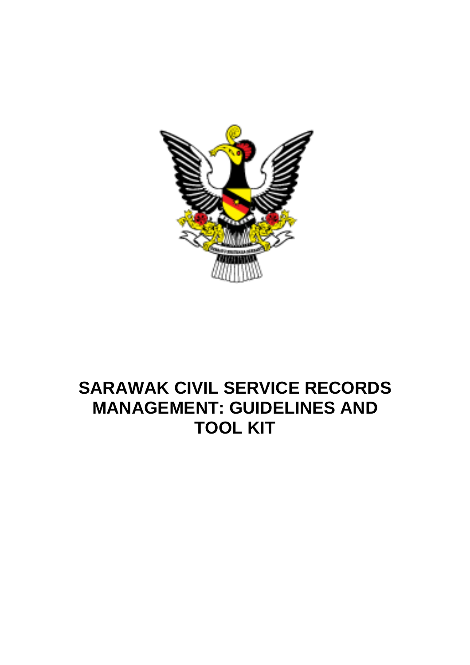

# **SARAWAK CIVIL SERVICE RECORDS MANAGEMENT: GUIDELINES AND TOOL KIT**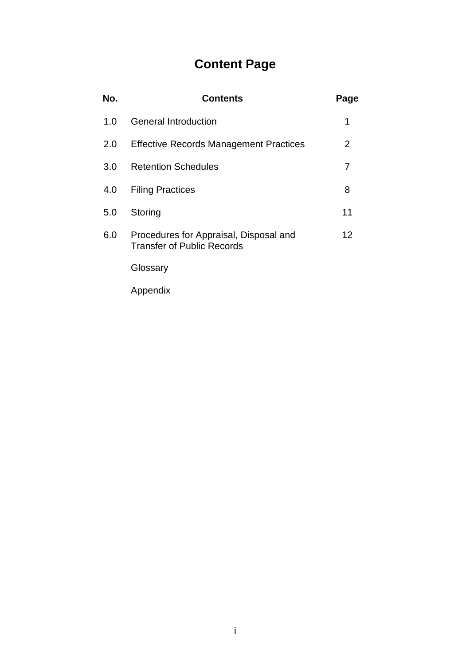# **Content Page**

| No. | Contents                                                                    | Page |
|-----|-----------------------------------------------------------------------------|------|
| 1.0 | <b>General Introduction</b>                                                 | 1    |
| 2.0 | <b>Effective Records Management Practices</b>                               | 2    |
| 3.0 | <b>Retention Schedules</b>                                                  | 7    |
| 4.0 | <b>Filing Practices</b>                                                     | 8    |
| 5.0 | Storing                                                                     | 11   |
| 6.0 | Procedures for Appraisal, Disposal and<br><b>Transfer of Public Records</b> | 12   |
|     | Glossary                                                                    |      |

Appendix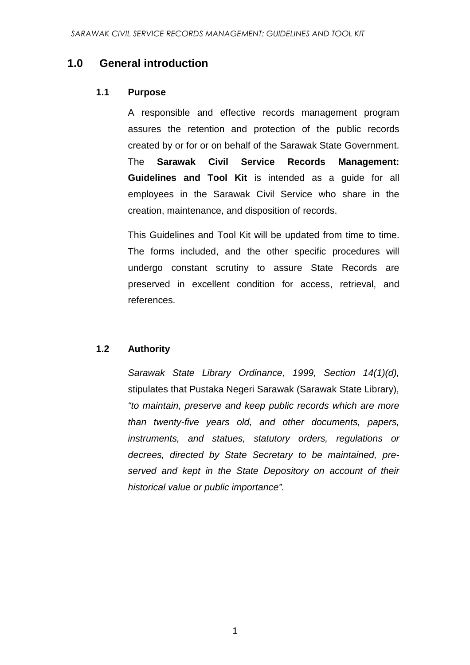## **1.0 General introduction**

#### **1.1 Purpose**

A responsible and effective records management program assures the retention and protection of the public records created by or for or on behalf of the Sarawak State Government. The **Sarawak Civil Service Records Management: Guidelines and Tool Kit** is intended as a guide for all employees in the Sarawak Civil Service who share in the creation, maintenance, and disposition of records.

This Guidelines and Tool Kit will be updated from time to time. The forms included, and the other specific procedures will undergo constant scrutiny to assure State Records are preserved in excellent condition for access, retrieval, and references.

#### **1.2 Authority**

Sarawak State Library Ordinance, 1999, Section 14(1)(d), stipulates that Pustaka Negeri Sarawak (Sarawak State Library), "to maintain, preserve and keep public records which are more than twenty-five years old, and other documents, papers, instruments, and statues, statutory orders, regulations or decrees, directed by State Secretary to be maintained, preserved and kept in the State Depository on account of their historical value or public importance".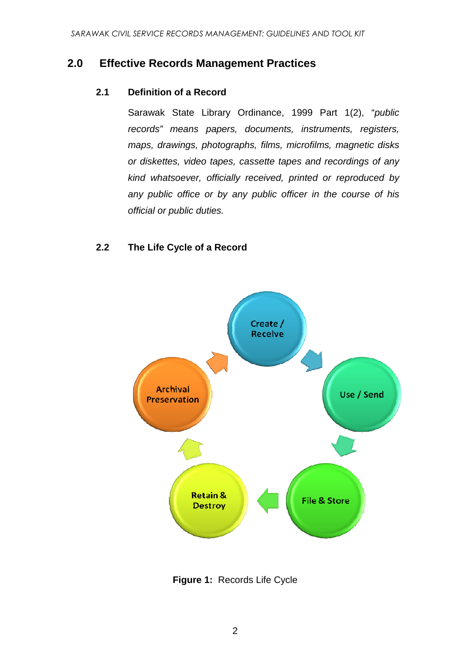#### **2.0 Effective Records Management Practices**

#### **2.1 Definition of a Record**

Sarawak State Library Ordinance, 1999 Part 1(2), "public records" means papers, documents, instruments, registers, maps, drawings, photographs, films, microfilms, magnetic disks or diskettes, video tapes, cassette tapes and recordings of any kind whatsoever, officially received, printed or reproduced by any public office or by any public officer in the course of his official or public duties.

#### **2.2 The Life Cycle of a Record**



**Figure 1:** Records Life Cycle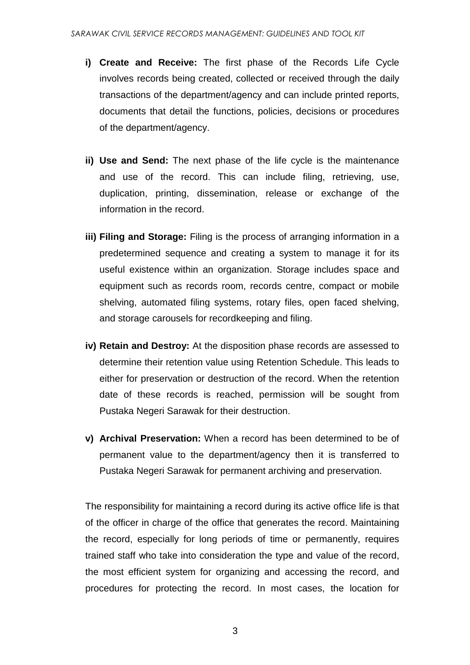- **i) Create and Receive:** The first phase of the Records Life Cycle involves records being created, collected or received through the daily transactions of the department/agency and can include printed reports, documents that detail the functions, policies, decisions or procedures of the department/agency.
- **ii) Use and Send:** The next phase of the life cycle is the maintenance and use of the record. This can include filing, retrieving, use, duplication, printing, dissemination, release or exchange of the information in the record.
- **iii) Filing and Storage:** Filing is the process of arranging information in a predetermined sequence and creating a system to manage it for its useful existence within an organization. Storage includes space and equipment such as records room, records centre, compact or mobile shelving, automated filing systems, rotary files, open faced shelving, and storage carousels for recordkeeping and filing.
- **iv) Retain and Destroy:** At the disposition phase records are assessed to determine their retention value using Retention Schedule. This leads to either for preservation or destruction of the record. When the retention date of these records is reached, permission will be sought from Pustaka Negeri Sarawak for their destruction.
- **v) Archival Preservation:** When a record has been determined to be of permanent value to the department/agency then it is transferred to Pustaka Negeri Sarawak for permanent archiving and preservation.

The responsibility for maintaining a record during its active office life is that of the officer in charge of the office that generates the record. Maintaining the record, especially for long periods of time or permanently, requires trained staff who take into consideration the type and value of the record, the most efficient system for organizing and accessing the record, and procedures for protecting the record. In most cases, the location for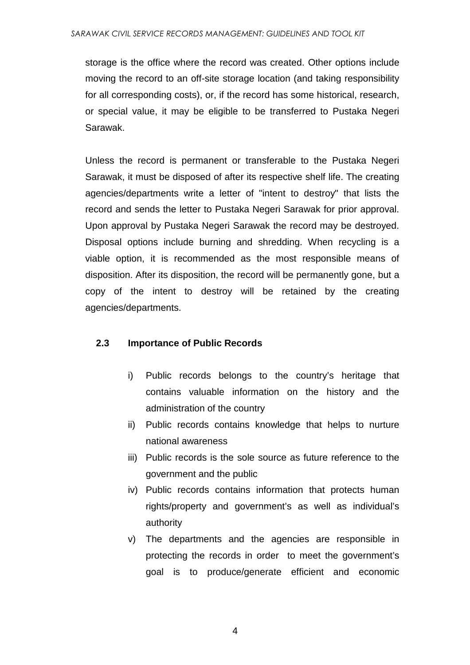storage is the office where the record was created. Other options include moving the record to an off-site storage location (and taking responsibility for all corresponding costs), or, if the record has some historical, research, or special value, it may be eligible to be transferred to Pustaka Negeri Sarawak.

Unless the record is permanent or transferable to the Pustaka Negeri Sarawak, it must be disposed of after its respective shelf life. The creating agencies/departments write a letter of "intent to destroy" that lists the record and sends the letter to Pustaka Negeri Sarawak for prior approval. Upon approval by Pustaka Negeri Sarawak the record may be destroyed. Disposal options include burning and shredding. When recycling is a viable option, it is recommended as the most responsible means of disposition. After its disposition, the record will be permanently gone, but a copy of the intent to destroy will be retained by the creating agencies/departments.

#### **2.3 Importance of Public Records**

- i) Public records belongs to the country's heritage that contains valuable information on the history and the administration of the country
- ii) Public records contains knowledge that helps to nurture national awareness
- iii) Public records is the sole source as future reference to the government and the public
- iv) Public records contains information that protects human rights/property and government's as well as individual's authority
- v) The departments and the agencies are responsible in protecting the records in order to meet the government's goal is to produce/generate efficient and economic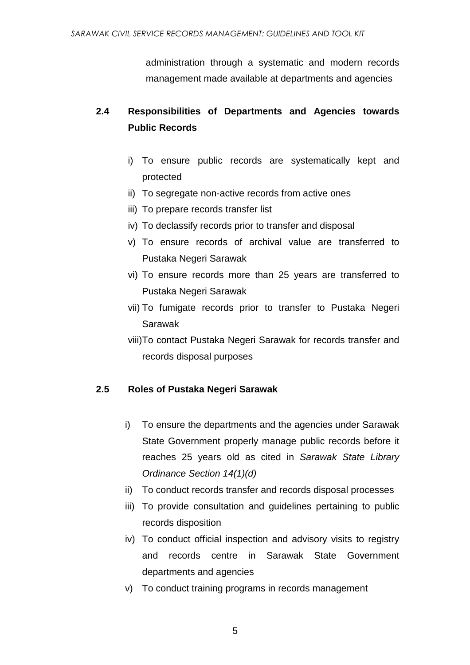administration through a systematic and modern records management made available at departments and agencies

## **2.4 Responsibilities of Departments and Agencies towards Public Records**

- i) To ensure public records are systematically kept and protected
- ii) To segregate non-active records from active ones
- iii) To prepare records transfer list
- iv) To declassify records prior to transfer and disposal
- v) To ensure records of archival value are transferred to Pustaka Negeri Sarawak
- vi) To ensure records more than 25 years are transferred to Pustaka Negeri Sarawak
- vii) To fumigate records prior to transfer to Pustaka Negeri Sarawak
- viii)To contact Pustaka Negeri Sarawak for records transfer and records disposal purposes

#### **2.5 Roles of Pustaka Negeri Sarawak**

- i) To ensure the departments and the agencies under Sarawak State Government properly manage public records before it reaches 25 years old as cited in Sarawak State Library Ordinance Section 14(1)(d)
- ii) To conduct records transfer and records disposal processes
- iii) To provide consultation and guidelines pertaining to public records disposition
- iv) To conduct official inspection and advisory visits to registry and records centre in Sarawak State Government departments and agencies
- v) To conduct training programs in records management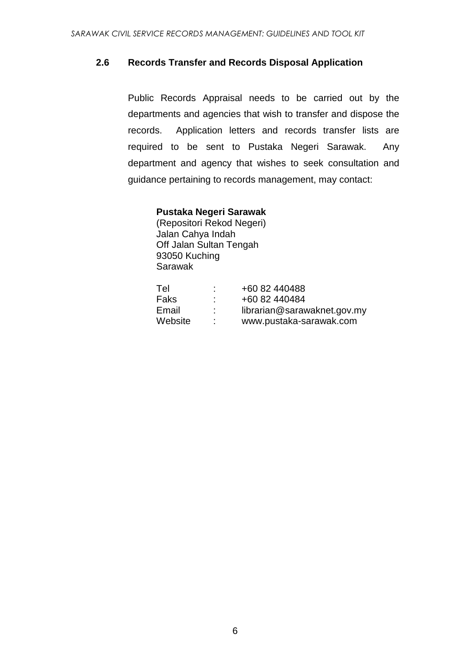#### **2.6 Records Transfer and Records Disposal Application**

Public Records Appraisal needs to be carried out by the departments and agencies that wish to transfer and dispose the records. Application letters and records transfer lists are required to be sent to Pustaka Negeri Sarawak. Any department and agency that wishes to seek consultation and guidance pertaining to records management, may contact:

#### **Pustaka Negeri Sarawak**

(Repositori Rekod Negeri) Jalan Cahya Indah Off Jalan Sultan Tengah 93050 Kuching Sarawak

| +60 82 440488               |
|-----------------------------|
| +60 82 440484               |
| librarian@sarawaknet.gov.my |
| www.pustaka-sarawak.com     |
|                             |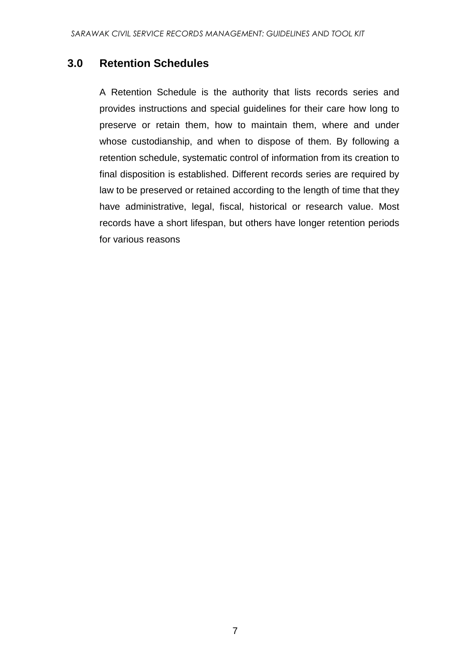## **3.0 Retention Schedules**

A Retention Schedule is the authority that lists records series and provides instructions and special guidelines for their care how long to preserve or retain them, how to maintain them, where and under whose custodianship, and when to dispose of them. By following a retention schedule, systematic control of information from its creation to final disposition is established. Different records series are required by law to be preserved or retained according to the length of time that they have administrative, legal, fiscal, historical or research value. Most records have a short lifespan, but others have longer retention periods for various reasons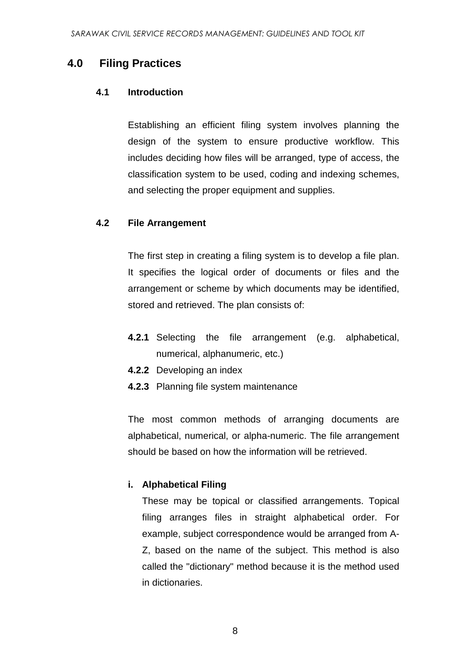### **4.0 Filing Practices**

#### **4.1 Introduction**

Establishing an efficient filing system involves planning the design of the system to ensure productive workflow. This includes deciding how files will be arranged, type of access, the classification system to be used, coding and indexing schemes, and selecting the proper equipment and supplies.

#### **4.2 File Arrangement**

The first step in creating a filing system is to develop a file plan. It specifies the logical order of documents or files and the arrangement or scheme by which documents may be identified, stored and retrieved. The plan consists of:

- **4.2.1** Selecting the file arrangement (e.g. alphabetical, numerical, alphanumeric, etc.)
- **4.2.2** Developing an index
- **4.2.3** Planning file system maintenance

The most common methods of arranging documents are alphabetical, numerical, or alpha-numeric. The file arrangement should be based on how the information will be retrieved.

#### **i. Alphabetical Filing**

These may be topical or classified arrangements. Topical filing arranges files in straight alphabetical order. For example, subject correspondence would be arranged from A-Z, based on the name of the subject. This method is also called the "dictionary" method because it is the method used in dictionaries.

8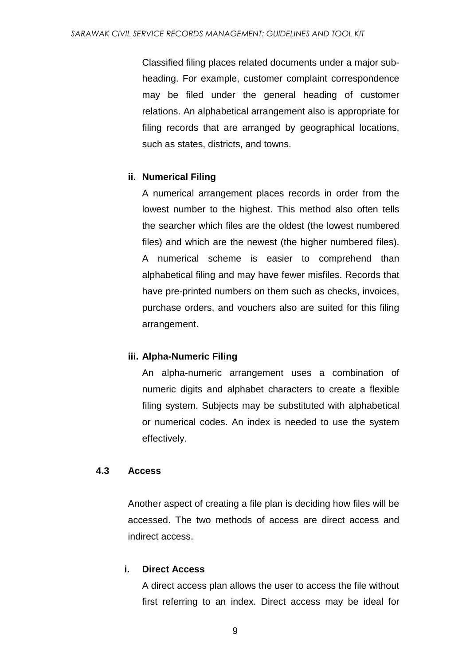Classified filing places related documents under a major subheading. For example, customer complaint correspondence may be filed under the general heading of customer relations. An alphabetical arrangement also is appropriate for filing records that are arranged by geographical locations, such as states, districts, and towns.

#### **ii. Numerical Filing**

A numerical arrangement places records in order from the lowest number to the highest. This method also often tells the searcher which files are the oldest (the lowest numbered files) and which are the newest (the higher numbered files). A numerical scheme is easier to comprehend than alphabetical filing and may have fewer misfiles. Records that have pre-printed numbers on them such as checks, invoices, purchase orders, and vouchers also are suited for this filing arrangement.

#### **iii. Alpha-Numeric Filing**

An alpha-numeric arrangement uses a combination of numeric digits and alphabet characters to create a flexible filing system. Subjects may be substituted with alphabetical or numerical codes. An index is needed to use the system effectively.

#### **4.3 Access**

Another aspect of creating a file plan is deciding how files will be accessed. The two methods of access are direct access and indirect access.

#### **i. Direct Access**

A direct access plan allows the user to access the file without first referring to an index. Direct access may be ideal for

9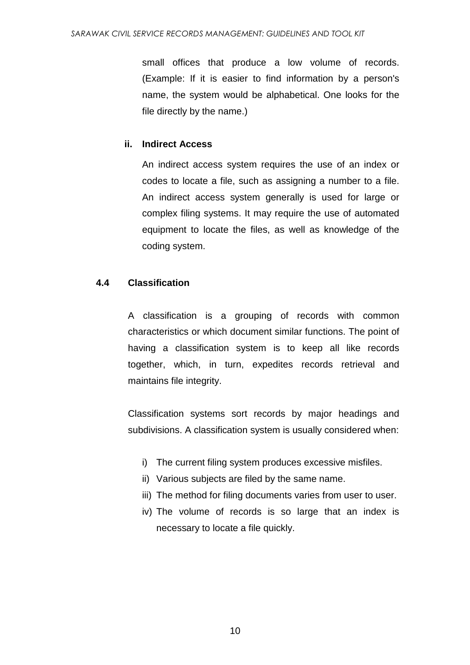small offices that produce a low volume of records. (Example: If it is easier to find information by a person's name, the system would be alphabetical. One looks for the file directly by the name.)

#### **ii. Indirect Access**

An indirect access system requires the use of an index or codes to locate a file, such as assigning a number to a file. An indirect access system generally is used for large or complex filing systems. It may require the use of automated equipment to locate the files, as well as knowledge of the coding system.

#### **4.4 Classification**

A classification is a grouping of records with common characteristics or which document similar functions. The point of having a classification system is to keep all like records together, which, in turn, expedites records retrieval and maintains file integrity.

Classification systems sort records by major headings and subdivisions. A classification system is usually considered when:

- i) The current filing system produces excessive misfiles.
- ii) Various subjects are filed by the same name.
- iii) The method for filing documents varies from user to user.
- iv) The volume of records is so large that an index is necessary to locate a file quickly.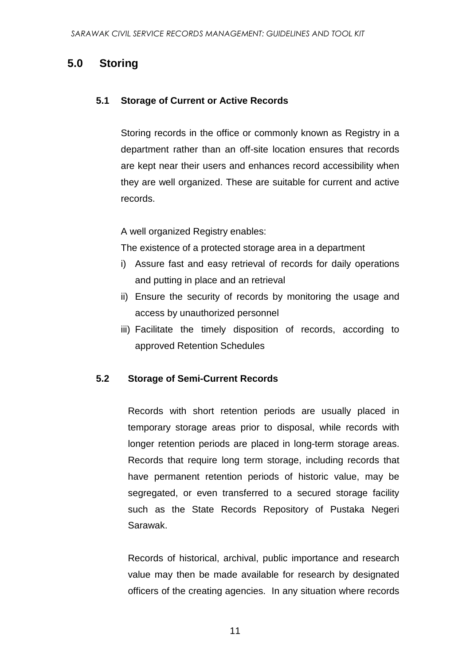## **5.0 Storing**

#### **5.1 Storage of Current or Active Records**

Storing records in the office or commonly known as Registry in a department rather than an off-site location ensures that records are kept near their users and enhances record accessibility when they are well organized. These are suitable for current and active records.

A well organized Registry enables:

The existence of a protected storage area in a department

- i) Assure fast and easy retrieval of records for daily operations and putting in place and an retrieval
- ii) Ensure the security of records by monitoring the usage and access by unauthorized personnel
- iii) Facilitate the timely disposition of records, according to approved Retention Schedules

#### **5.2 Storage of Semi-Current Records**

Records with short retention periods are usually placed in temporary storage areas prior to disposal, while records with longer retention periods are placed in long-term storage areas. Records that require long term storage, including records that have permanent retention periods of historic value, may be segregated, or even transferred to a secured storage facility such as the State Records Repository of Pustaka Negeri Sarawak.

Records of historical, archival, public importance and research value may then be made available for research by designated officers of the creating agencies. In any situation where records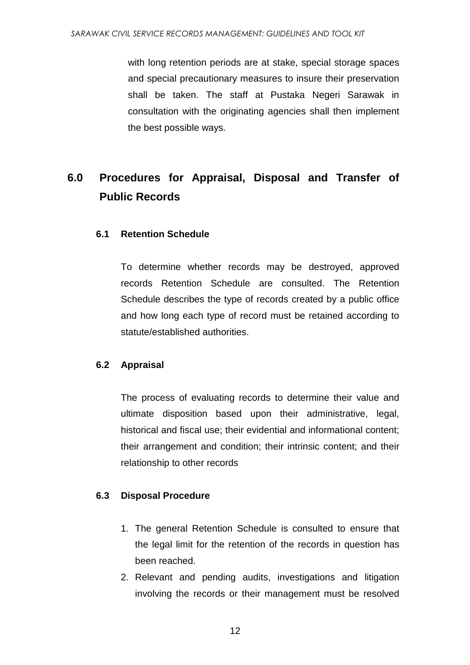with long retention periods are at stake, special storage spaces and special precautionary measures to insure their preservation shall be taken. The staff at Pustaka Negeri Sarawak in consultation with the originating agencies shall then implement the best possible ways.

# **6.0 Procedures for Appraisal, Disposal and Transfer of Public Records**

#### **6.1 Retention Schedule**

To determine whether records may be destroyed, approved records Retention Schedule are consulted. The Retention Schedule describes the type of records created by a public office and how long each type of record must be retained according to statute/established authorities.

#### **6.2 Appraisal**

The process of evaluating records to determine their value and ultimate disposition based upon their administrative, legal, historical and fiscal use; their evidential and informational content; their arrangement and condition; their intrinsic content; and their relationship to other records

#### **6.3 Disposal Procedure**

- 1. The general Retention Schedule is consulted to ensure that the legal limit for the retention of the records in question has been reached.
- 2. Relevant and pending audits, investigations and litigation involving the records or their management must be resolved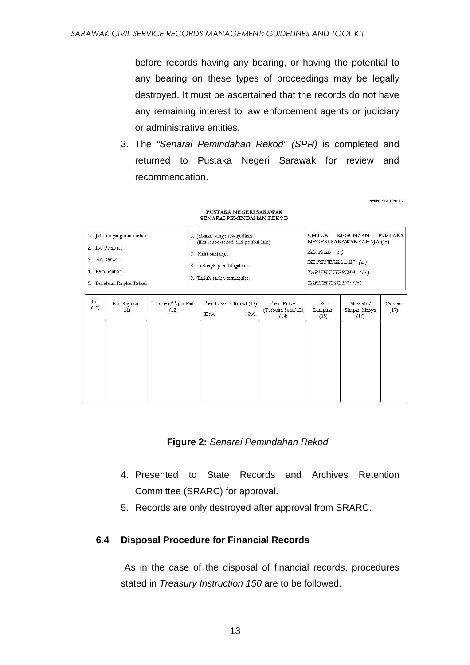before records having any bearing, or having the potential to any bearing on these types of proceedings may be legally destroyed. It must be ascertained that the records do not have any remaining interest to law enforcement agents or judiciary or administrative entities.

3. The "Senarai Pemindahan Rekod" (SPR) is completed and returned to Pustaka Negeri Sarawak for review and recommendation.

Bonano Pennidahan 01

| 1. Jabatan yang memindah:<br>2. Ibu Pejabat:<br>Siri Rekod:<br>3.<br>4. Pemindahan:<br>5. Penjelasan Ringkas Rekod |      |      | (jika rekod-rekod dari pejabat lain)   |                                                                                                                     |                                 | <b>UNTUK</b><br><b>KEGUNAAN</b><br><b>PUSTAKA</b><br>NEGERI SARAWAK SAHAJA (18)<br>BIL. $FAIL: (i)$<br>BIL.PENERIMAAN: (ü)<br>TARIKH DITERIMA: (iii)<br>TARIKH KAJIAN: (iv) |                 |  |
|--------------------------------------------------------------------------------------------------------------------|------|------|----------------------------------------|---------------------------------------------------------------------------------------------------------------------|---------------------------------|-----------------------------------------------------------------------------------------------------------------------------------------------------------------------------|-----------------|--|
| No. Rujukan<br>(11)                                                                                                | (12) | Drpd | Kpd                                    | Taraf Rekod<br>(Terbuka Sulit/dll)<br>(14)                                                                          | Bil.<br>Lampiran<br>(15)        | Musnah /<br>Simpan hingga<br>(16)                                                                                                                                           | Catatan<br>(17) |  |
|                                                                                                                    |      |      | 7. Kaki panjang:<br>Perkara/Tajuk Fail | 6. Jabatan yang mewujudkan:<br>8. Perlengkapan dilegakan:<br>9. Tarikh-tarikh termasuk:<br>Tarikh-tarikh Rekod (13) | <b>SENARAI PEMINDAHAN REKOD</b> |                                                                                                                                                                             |                 |  |

# PUSTAKA NEGERI SARAWAK

**Figure 2:** Senarai Pemindahan Rekod

- 4. Presented to State Records and Archives Retention Committee (SRARC) for approval.
- 5. Records are only destroyed after approval from SRARC.

#### **6.4 Disposal Procedure for Financial Records**

As in the case of the disposal of financial records, procedures stated in Treasury Instruction 150 are to be followed.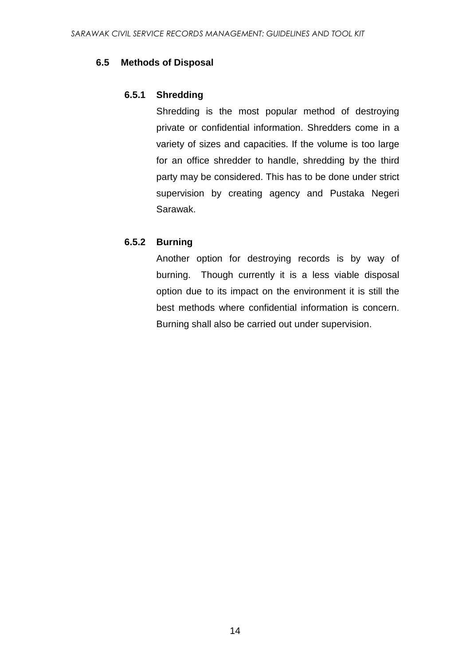#### **6.5 Methods of Disposal**

#### **6.5.1 Shredding**

Shredding is the most popular method of destroying private or confidential information. Shredders come in a variety of sizes and capacities. If the volume is too large for an office shredder to handle, shredding by the third party may be considered. This has to be done under strict supervision by creating agency and Pustaka Negeri Sarawak.

#### **6.5.2 Burning**

Another option for destroying records is by way of burning. Though currently it is a less viable disposal option due to its impact on the environment it is still the best methods where confidential information is concern. Burning shall also be carried out under supervision.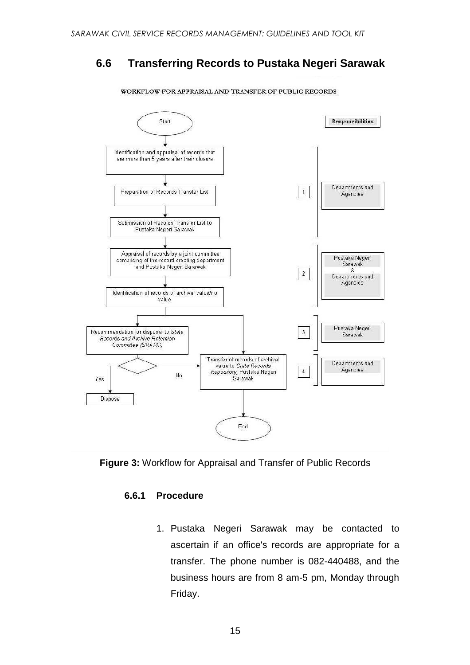## **6.6 Transferring Records to Pustaka Negeri Sarawak**



WORKFLOW FOR APPRAISAL AND TRANSFER OF PUBLIC RECORDS

**Figure 3:** Workflow for Appraisal and Transfer of Public Records

#### **6.6.1 Procedure**

1. Pustaka Negeri Sarawak may be contacted to ascertain if an office's records are appropriate for a transfer. The phone number is 082-440488, and the business hours are from 8 am-5 pm, Monday through Friday.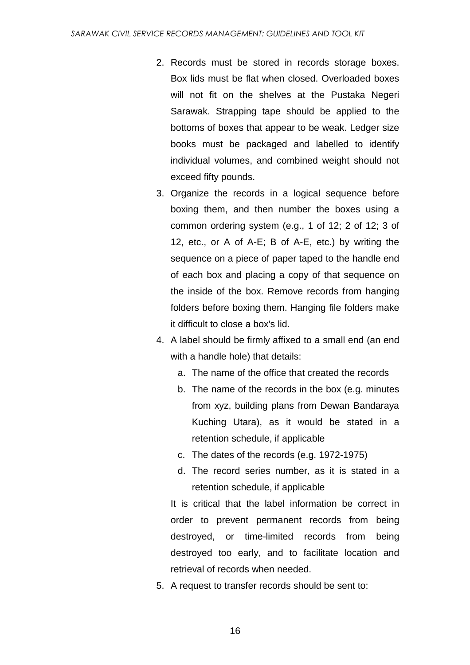- 2. Records must be stored in records storage boxes. Box lids must be flat when closed. Overloaded boxes will not fit on the shelves at the Pustaka Negeri Sarawak. Strapping tape should be applied to the bottoms of boxes that appear to be weak. Ledger size books must be packaged and labelled to identify individual volumes, and combined weight should not exceed fifty pounds.
- 3. Organize the records in a logical sequence before boxing them, and then number the boxes using a common ordering system (e.g., 1 of 12; 2 of 12; 3 of 12, etc., or A of A-E; B of A-E, etc.) by writing the sequence on a piece of paper taped to the handle end of each box and placing a copy of that sequence on the inside of the box. Remove records from hanging folders before boxing them. Hanging file folders make it difficult to close a box's lid.
- 4. A label should be firmly affixed to a small end (an end with a handle hole) that details:
	- a. The name of the office that created the records
	- b. The name of the records in the box (e.g. minutes from xyz, building plans from Dewan Bandaraya Kuching Utara), as it would be stated in a retention schedule, if applicable
	- c. The dates of the records (e.g. 1972-1975)
	- d. The record series number, as it is stated in a retention schedule, if applicable

It is critical that the label information be correct in order to prevent permanent records from being destroyed, or time-limited records from being destroyed too early, and to facilitate location and retrieval of records when needed.

5. A request to transfer records should be sent to: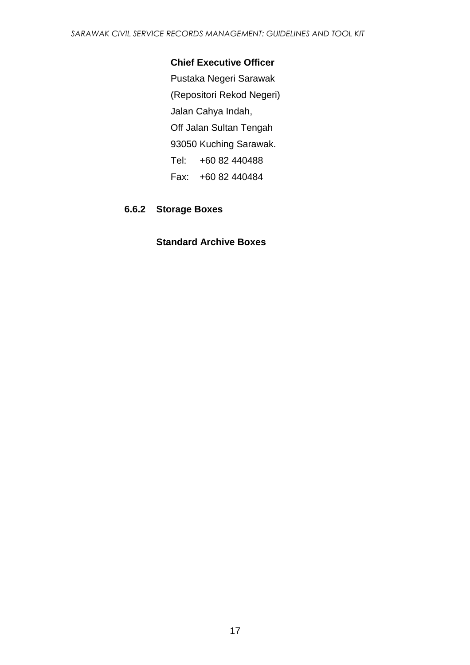#### **Chief Executive Officer**

Pustaka Negeri Sarawak (Repositori Rekod Negeri) Jalan Cahya Indah, Off Jalan Sultan Tengah 93050 Kuching Sarawak. Tel: +60 82 440488 Fax: +60 82 440484

#### **6.6.2 Storage Boxes**

#### **Standard Archive Boxes**